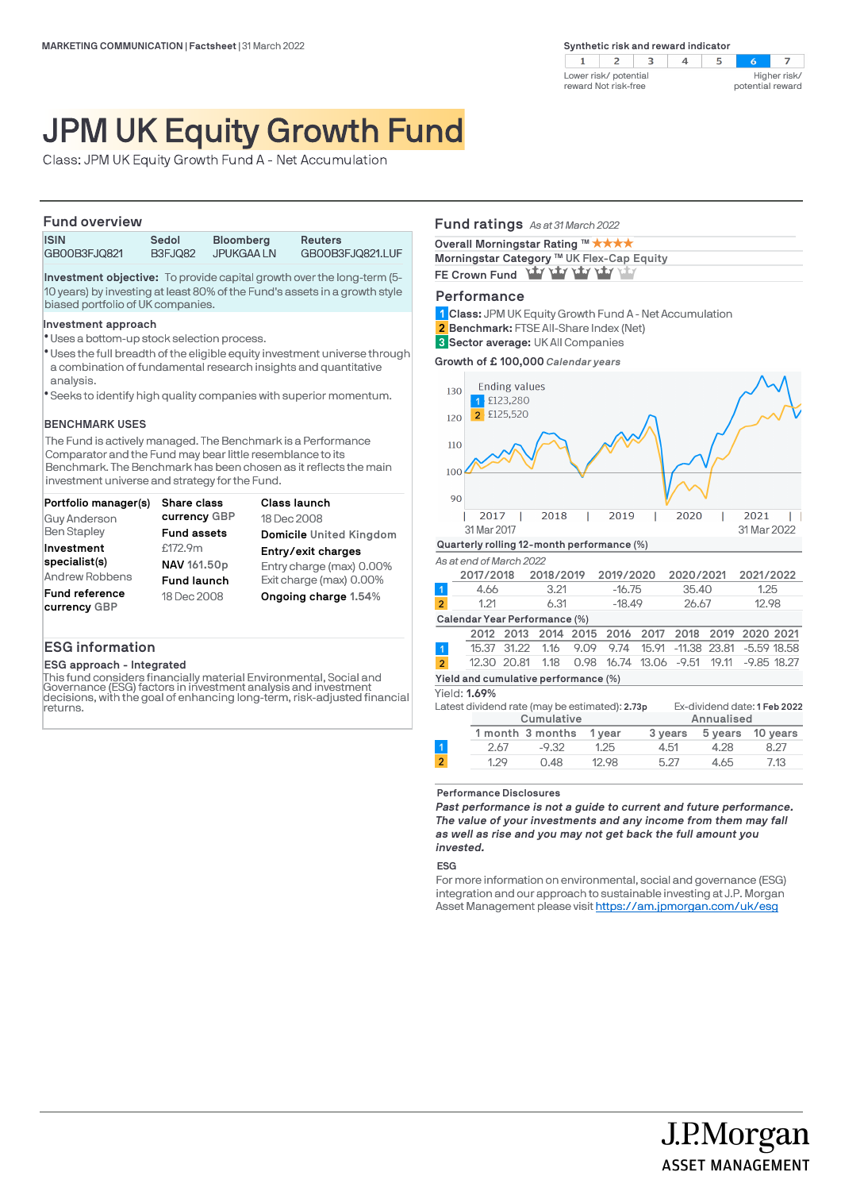$\overline{2}$  $\mathcal{A}$  $\overline{z}$  $\mathbf{1}$  $\mathbf{B}$  $\overline{4}$  $5\overline{5}$  $\sim$ Higher risk/ Lower risk/ potential reward Not risk-free potential reward

# JPM UK Equity Growth Fund

Class: JPM UK Equity Growth Fund A - Net Accumulation

### **Fund overview**

| <b>ISIN</b>  | Sedol   | <b>Bloomberg</b> | <b>Reuters</b>   |
|--------------|---------|------------------|------------------|
| GB00B3FJQ821 | B3FJO82 | JPUKGAA LN       | GB00B3FJQ821.LUF |

**Investment objective:** To provide capital growth over the long-term (5- 10 years) by investing at least 80% of the Fund's assets in a growth style biased portfolio of UK companies.

### **Investment approach**

- Uses a bottom-up stock selection process. l
- \* Uses the full breadth of the eligible equity investment universe through a combination of fundamental research insights and quantitative analysis.
- Seeks to identify high quality companies with superior momentum. l

### **BENCHMARK USES**

The Fund is actively managed. The Benchmark is a Performance Comparator and the Fund may bear little resemblance to its Benchmark. The Benchmark has been chosen as it reflects the main investment universe and strategy for the Fund.

| Portfolio manager(s)  | <b>Share class</b> | <b>Class launch</b>      |
|-----------------------|--------------------|--------------------------|
| Guy Anderson          | currency GBP       | 18 Dec 2008              |
| <b>Ben Stapley</b>    | <b>Fund assets</b> | Domicile United Kingdom  |
| Investment            | £172.9m            | Entry/exit charges       |
| specialist(s)         | NAV 161.50p        | Entry charge (max) 0.00% |
| Andrew Robbens        | <b>Fund launch</b> | Exit charge (max) 0.00%  |
| <b>Fund reference</b> | 18 Dec 2008        | Ongoing charge 1.54%     |
| currency GBP          |                    |                          |

# **ESG information**

# **ESG approach - Integrated**

This fund considers financially material Environmental, Social and Governance (ESG) factors in investment analysis and investment decisions, with the goal of enhancing long-term, risk-adjusted financial returns.

## **Fund ratings** *As at 31 March 2022*

| Overall Morningstar Rating ™ ★★★★         |
|-------------------------------------------|
| Morningstar Category ™ UK Flex-Cap Equity |
| FE Crown Fund Yay Yay Yay Yay Yay         |

### **Performance**

**Class:** JPM UK Equity Growth Fund A - Net Accumulation **1**

- **Benchmark:** FTSE All-Share Index (Net) **2**
- **Sector average:** UK All Companies **3**

**Growth of £ 100,000** *Calendar years*



#### **Performance Disclosures**

*Past performance is not a guide to current and future performance. The value of your investments and any income from them may fall as well as rise and you may not get back the full amount you invested.* 

2.67 -9.32 1.25 4.51 4.28 8.27 1.29 0.48 12.98 5.27 4.65 7.13

#### **ESG**

 $\mathcal{L}$ 

For more information on environmental, social and governance (ESG) integration and our approach to sustainable investing at J.P. Morgan Asset Management please visit https://am.jpmorgan.com/uk/esg

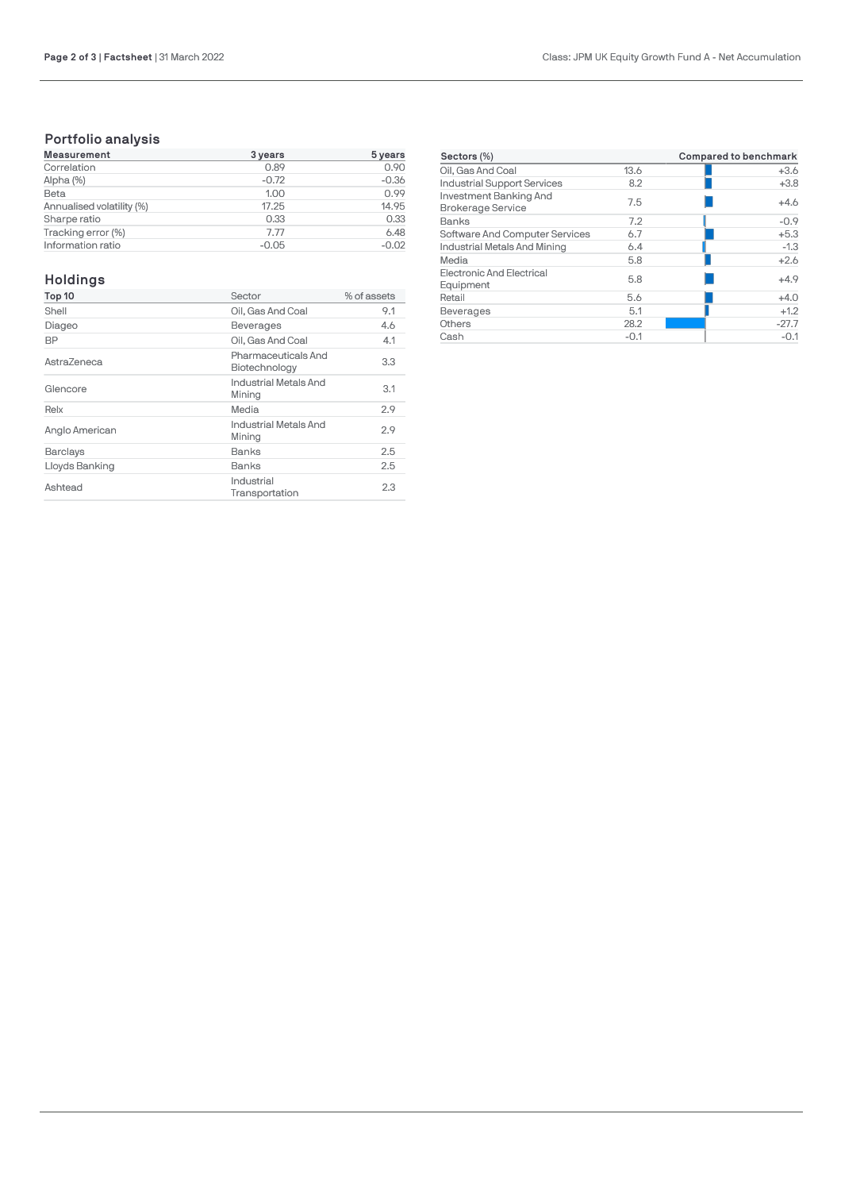# **Portfolio analysis**

| <b>Measurement</b>        | 3 years | 5 years |
|---------------------------|---------|---------|
| Correlation               | 0.89    | 0.90    |
| Alpha (%)                 | $-0.72$ | $-0.36$ |
| Beta                      | 1.00    | 0.99    |
| Annualised volatility (%) | 17.25   | 14.95   |
| Sharpe ratio              | 0.33    | 0.33    |
| Tracking error (%)        | 7.77    | 6.48    |
| Information ratio         | $-0.05$ | $-0.02$ |

# **Holdings**

| Top 10          | Sector                               | % of assets |
|-----------------|--------------------------------------|-------------|
| Shell           | Oil, Gas And Coal                    | 9.1         |
| Diageo          | <b>Beverages</b>                     | 4.6         |
| <b>BP</b>       | Oil, Gas And Coal                    | 4.1         |
| AstraZeneca     | Pharmaceuticals And<br>Biotechnology | 3.3         |
| Glencore        | Industrial Metals And<br>Mining      | 3.1         |
| Relx            | Media                                | 2.9         |
| Anglo American  | Industrial Metals And<br>Mining      | 2.9         |
| <b>Barclays</b> | Banks                                | 2.5         |
| Lloyds Banking  | Banks                                | 2.5         |
| Ashtead         | Industrial<br>Transportation         | 2.3         |

| Sectors (%)                                        |        | <b>Compared to benchmark</b> |
|----------------------------------------------------|--------|------------------------------|
| Oil, Gas And Coal                                  | 13.6   | $+3.6$                       |
| <b>Industrial Support Services</b>                 | 8.2    | $+3.8$                       |
| Investment Banking And<br><b>Brokerage Service</b> | 7.5    | $+4.6$                       |
| Banks                                              | 7.2    | $-0.9$                       |
| Software And Computer Services                     | 6.7    | $+5.3$                       |
| Industrial Metals And Mining                       | 6.4    | $-1.3$                       |
| Media                                              | 5.8    | $+2.6$                       |
| <b>Electronic And Electrical</b><br>Equipment      | 5.8    | $+4.9$                       |
| Retail                                             | 5.6    | $+4.0$                       |
| <b>Beverages</b>                                   | 5.1    | $+1.2$                       |
| Others                                             | 28.2   | $-27.7$                      |
| Cash                                               | $-0.1$ | $-0.1$                       |